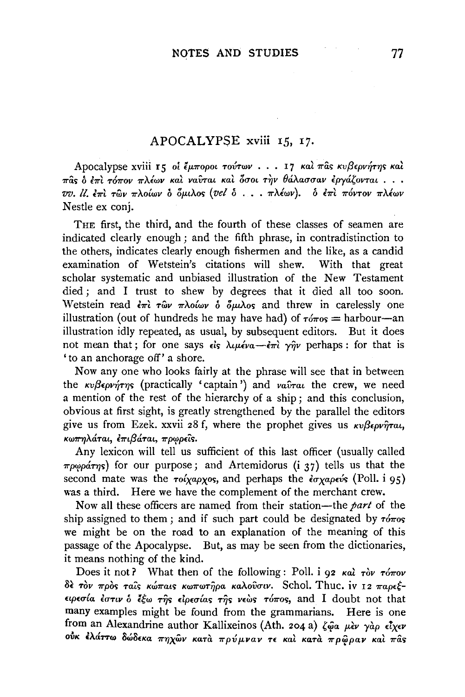## APOCALYPSE xviii 15, 17.

Apocalypse xviii τς οί έμποροι τούτων . . . 17 και πας κυβερνήτης και  $\pi$ ûς ο επι τόπον πλέων και ναυται και δσοι την θάλασσαν εργάζονται...  $vv.$  U. επι των πλοίων ο όμιλος (vel ο . . . πλέων). *ο επι πόντον πλέων* Nestle ex conj.

THE first, the third, and the fourth of these classes of seamen are indicated clearly enough; and the fifth phrase, in contradistinction to the others, indicates clearly enough fishermen and the like, as a candid examination of Wetstein's citations will shew. With that great examination of Wetstein's citations will shew. scholar systematic and unbiased illustration of the New Testament died ; and I trust to shew by degrees that it died all too soon. Wetstein read  $\epsilon \pi i$   $\tau \hat{\omega} \nu$   $\pi \lambda o \hat{\omega} \nu$  *δ*  $\delta \mu \lambda \rho s$  and threw in carelessly one illustration (out of hundreds he may have had) of  $\tau_{0}^{*} =$ harbour-an illustration idly repeated, as usual, by subsequent editors. But it does not mean that; for one says  $\epsilon \hat{i}$ s  $\lambda \mu \epsilon' \nu \hat{a} - \epsilon \pi \hat{i}$   $\gamma \hat{n} \nu$  perhaps: for that is 'to an anchorage off' a shore.

Now any one who looks fairly at the phrase will see that in between the *κυβερνήτης* (practically 'captain') and *ναῦται* the crew, we need a mention of the rest of the hierarchy of a ship; and this conclusion, obvious at first sight, is greatly strengthened by the parallel the editors give us from Ezek. xxvii 28 f, where the prophet gives us  $\kappa v \beta \epsilon \rho v \hat{\eta} \tau \alpha t$ , *KWTTηλάται, επιβάται, πρωρείς.* 

Any lexicon will tell us sufficient of this last officer (usually called  $\pi \rho \omega \rho \acute{a} \tau \eta s$ ) for our purpose; and Artemidorus (i 37) tells us that the second mate was the  $\tau o(xa\rho x\sigma s)$ , and perhaps the  $\epsilon \sigma x a\rho \epsilon v s$  (Poll. i 95) was a third. Here we have the complement of the merchant crew.

Now all these officers are named from their station-the *part* of the ship assigned to them; and if such part could be designated by  $\tau$ *ó* $\pi$ *os* we might be on the road to an explanation of the meaning of this passage of the Apocalypse. But, as may be seen from the dictionaries, it means nothing of the kind.

Does it not? What then of the following : Poll. i 92 *Kai* Tov ToTOV  $\delta$ ε τον προς ταίς κώπαις κωπωτήρα καλούσιν. Schol. Thuc. iv 12 παρεξ*np£<TLa EuTiv* o *ltw* T~'> *£ip£<T{a>* 'T~'> *v£w> T67ro>,* and I doubt not that many examples might be found from the grammarians. Here is one from an Alexandrine author Kallixeinos (Ath. 204 a)  $\zeta \hat{\varphi}$ a  $\mu$ èv yàp  $\epsilon \overline{\iota}$ xev *ovK l.\a'T'Tw 8w8£Ka 7r'YJXWV KaTa 7rpv/Lvav* n *Ka2 KaTa 7rp'i!pav Ka1 7ra'>*